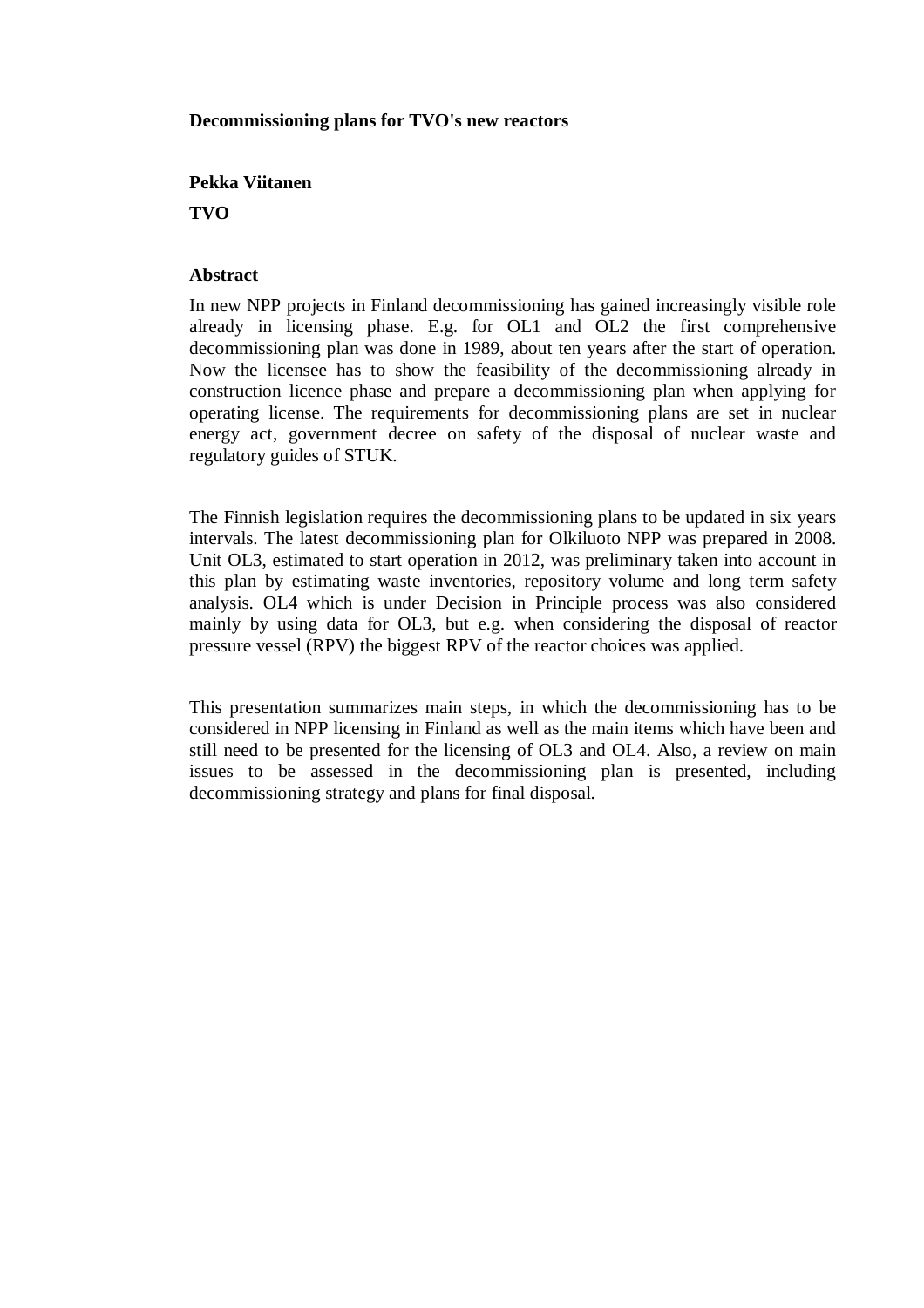## **Decommissioning plans for TVO's new reactors**

## **Pekka Viitanen**

**TVO**

## **Abstract**

In new NPP projects in Finland decommissioning has gained increasingly visible role already in licensing phase. E.g. for OL1 and OL2 the first comprehensive decommissioning plan was done in 1989, about ten years after the start of operation. Now the licensee has to show the feasibility of the decommissioning already in construction licence phase and prepare a decommissioning plan when applying for operating license. The requirements for decommissioning plans are set in nuclear energy act, government decree on safety of the disposal of nuclear waste and regulatory guides of STUK.

The Finnish legislation requires the decommissioning plans to be updated in six years intervals. The latest decommissioning plan for Olkiluoto NPP was prepared in 2008. Unit OL3, estimated to start operation in 2012, was preliminary taken into account in this plan by estimating waste inventories, repository volume and long term safety analysis. OL4 which is under Decision in Principle process was also considered mainly by using data for OL3, but e.g. when considering the disposal of reactor pressure vessel (RPV) the biggest RPV of the reactor choices was applied.

This presentation summarizes main steps, in which the decommissioning has to be considered in NPP licensing in Finland as well as the main items which have been and still need to be presented for the licensing of OL3 and OL4. Also, a review on main issues to be assessed in the decommissioning plan is presented, including decommissioning strategy and plans for final disposal.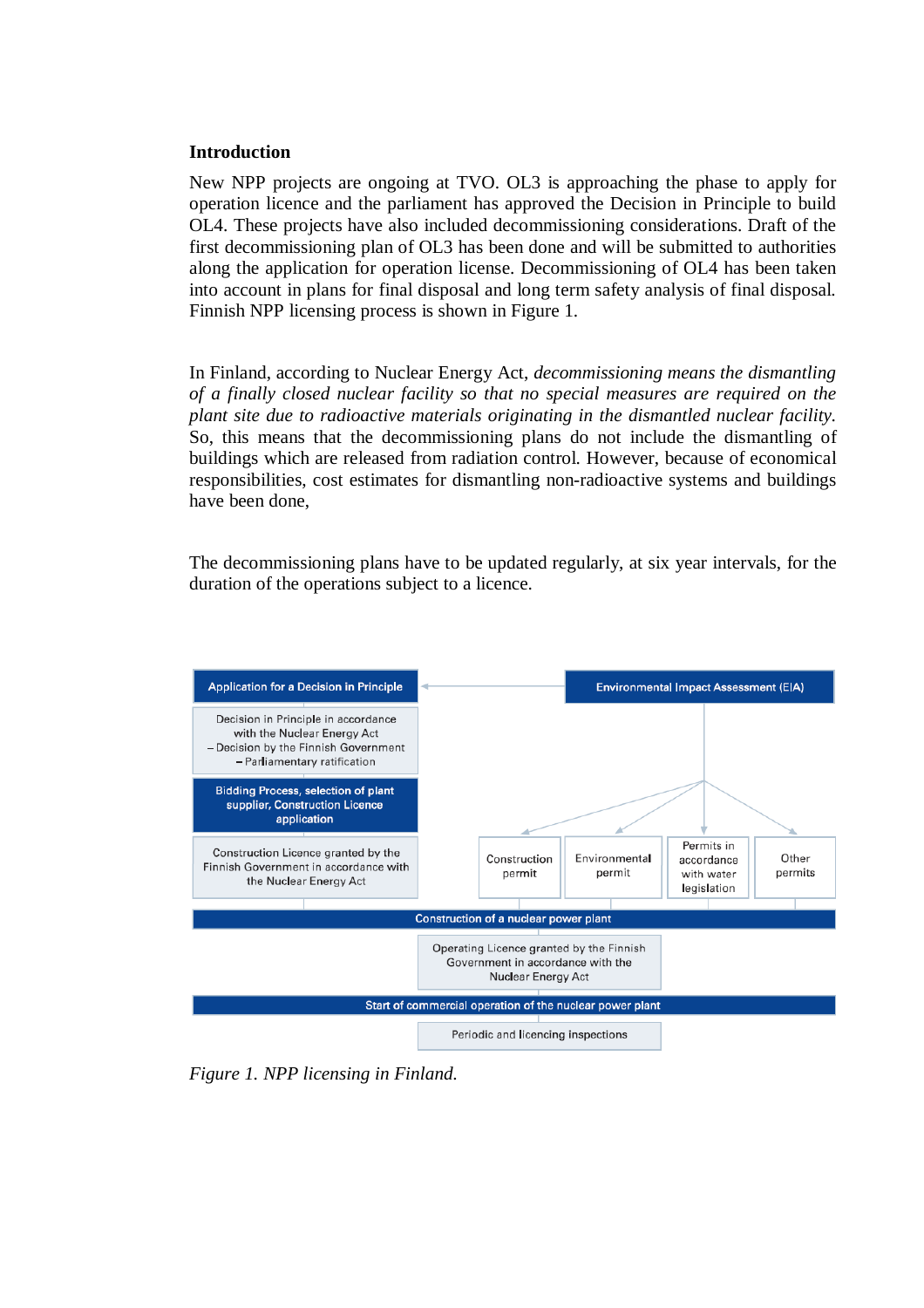#### **Introduction**

New NPP projects are ongoing at TVO. OL3 is approaching the phase to apply for operation licence and the parliament has approved the Decision in Principle to build OL4. These projects have also included decommissioning considerations. Draft of the first decommissioning plan of OL3 has been done and will be submitted to authorities along the application for operation license. Decommissioning of OL4 has been taken into account in plans for final disposal and long term safety analysis of final disposal. Finnish NPP licensing process is shown in Figure 1.

In Finland, according to Nuclear Energy Act, *decommissioning means the dismantling of a finally closed nuclear facility so that no special measures are required on the plant site due to radioactive materials originating in the dismantled nuclear facility.* So, this means that the decommissioning plans do not include the dismantling of buildings which are released from radiation control. However, because of economical responsibilities, cost estimates for dismantling non-radioactive systems and buildings have been done,

The decommissioning plans have to be updated regularly, at six year intervals, for the duration of the operations subject to a licence.



*Figure 1. NPP licensing in Finland.*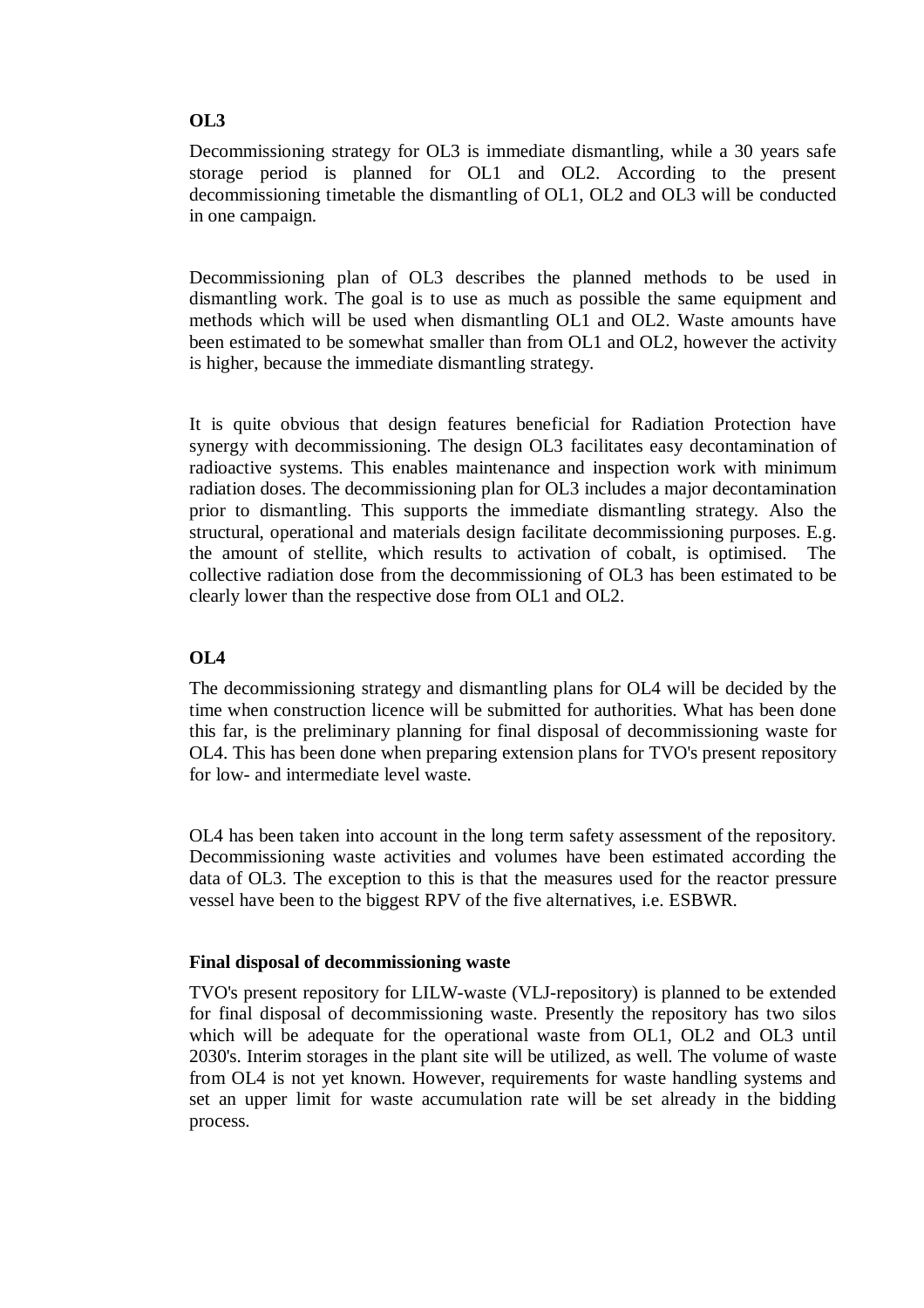### **OL3**

Decommissioning strategy for OL3 is immediate dismantling, while a 30 years safe storage period is planned for OL1 and OL2. According to the present decommissioning timetable the dismantling of OL1, OL2 and OL3 will be conducted in one campaign.

Decommissioning plan of OL3 describes the planned methods to be used in dismantling work. The goal is to use as much as possible the same equipment and methods which will be used when dismantling OL1 and OL2. Waste amounts have been estimated to be somewhat smaller than from OL1 and OL2, however the activity is higher, because the immediate dismantling strategy.

It is quite obvious that design features beneficial for Radiation Protection have synergy with decommissioning. The design OL3 facilitates easy decontamination of radioactive systems. This enables maintenance and inspection work with minimum radiation doses. The decommissioning plan for OL3 includes a major decontamination prior to dismantling. This supports the immediate dismantling strategy. Also the structural, operational and materials design facilitate decommissioning purposes. E.g. the amount of stellite, which results to activation of cobalt, is optimised. The collective radiation dose from the decommissioning of OL3 has been estimated to be clearly lower than the respective dose from OL1 and OL2.

# **OL4**

The decommissioning strategy and dismantling plans for OL4 will be decided by the time when construction licence will be submitted for authorities. What has been done this far, is the preliminary planning for final disposal of decommissioning waste for OL4. This has been done when preparing extension plans for TVO's present repository for low- and intermediate level waste.

OL4 has been taken into account in the long term safety assessment of the repository. Decommissioning waste activities and volumes have been estimated according the data of OL3. The exception to this is that the measures used for the reactor pressure vessel have been to the biggest RPV of the five alternatives, i.e. ESBWR.

#### **Final disposal of decommissioning waste**

TVO's present repository for LILW-waste (VLJ-repository) is planned to be extended for final disposal of decommissioning waste. Presently the repository has two silos which will be adequate for the operational waste from OL1, OL2 and OL3 until 2030's. Interim storages in the plant site will be utilized, as well. The volume of waste from OL4 is not yet known. However, requirements for waste handling systems and set an upper limit for waste accumulation rate will be set already in the bidding process.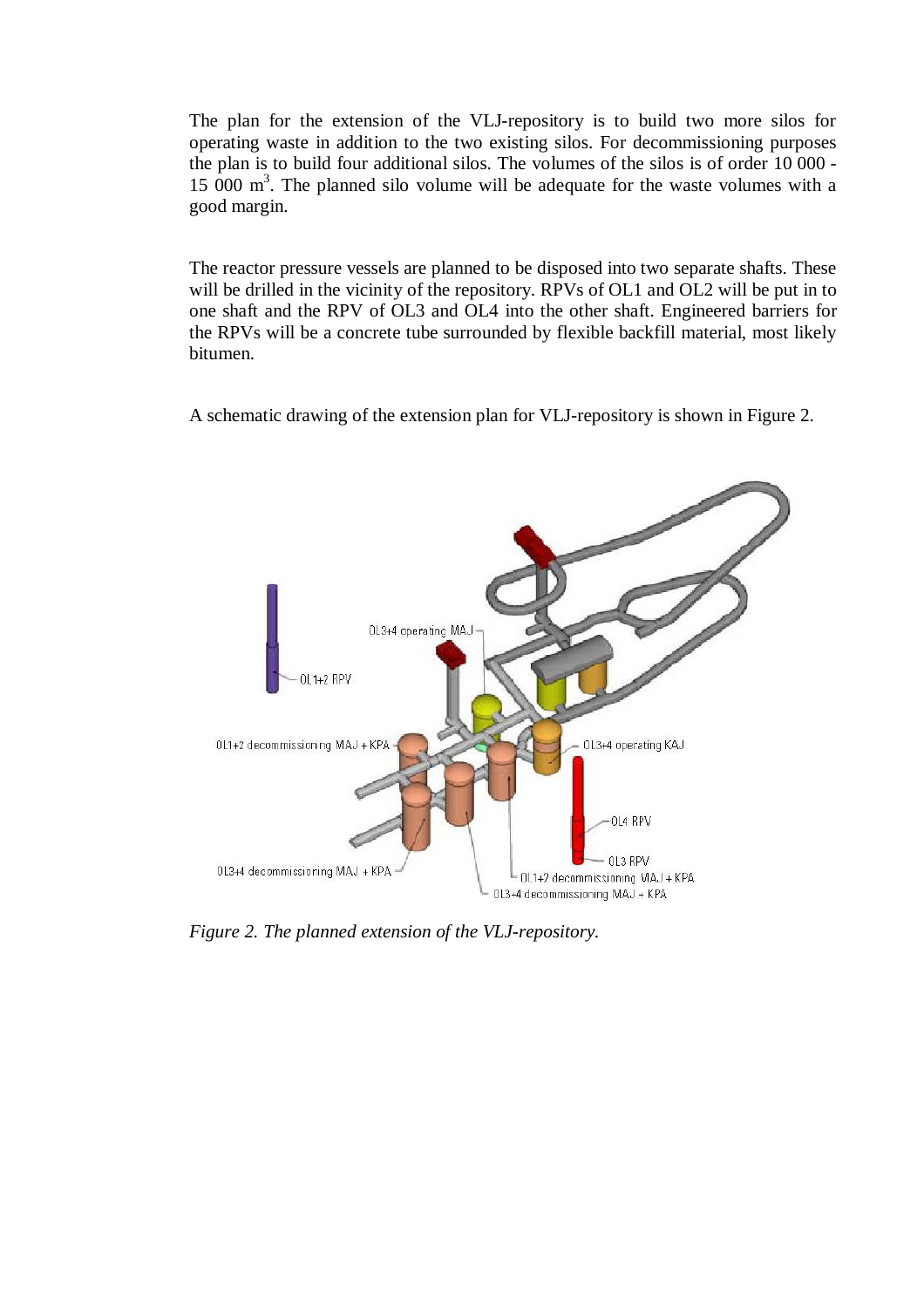The plan for the extension of the VLJ-repository is to build two more silos for operating waste in addition to the two existing silos. For decommissioning purposes the plan is to build four additional silos. The volumes of the silos is of order 10 000 - 15 000  $\text{m}^3$ . The planned silo volume will be adequate for the waste volumes with a good margin.

The reactor pressure vessels are planned to be disposed into two separate shafts. These will be drilled in the vicinity of the repository. RPVs of OL1 and OL2 will be put in to one shaft and the RPV of OL3 and OL4 into the other shaft. Engineered barriers for the RPVs will be a concrete tube surrounded by flexible backfill material, most likely bitumen.

A schematic drawing of the extension plan for VLJ-repository is shown in Figure 2.



*Figure 2. The planned extension of the VLJ-repository.*